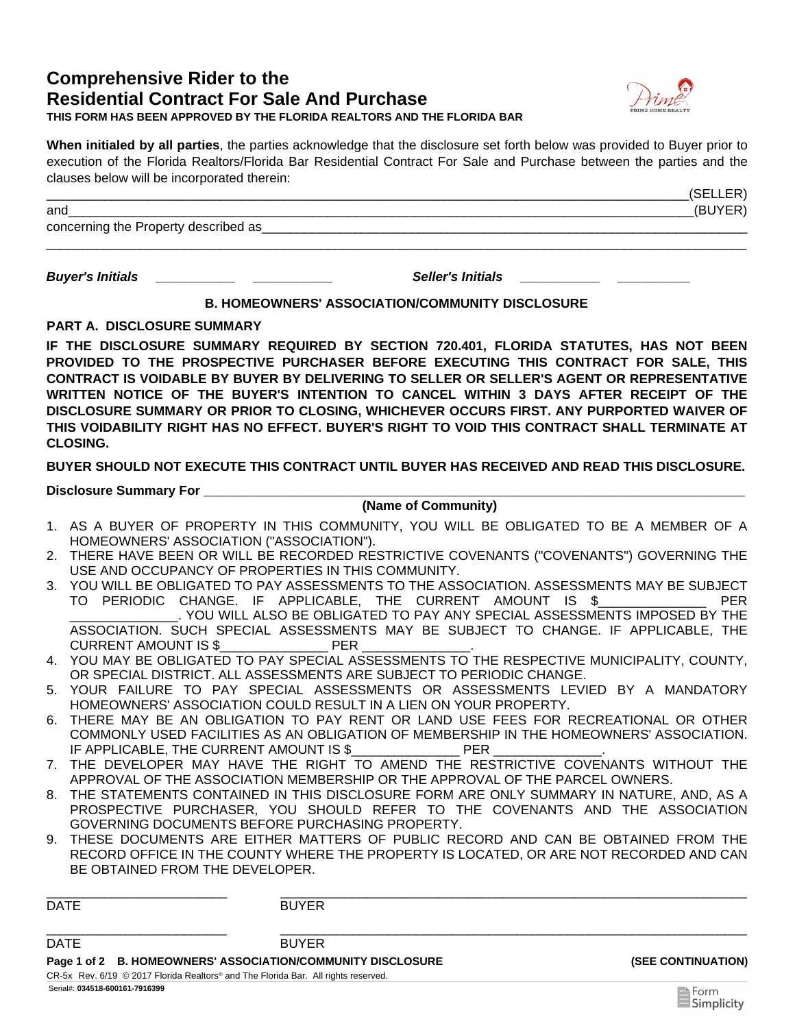# **Comprehensive Rider to the Residential Contract For Sale And Purchase**



**THIS FORM HAS BEEN APPROVED BY THE FLORIDA REALTORS AND THE FLORIDA BAR**

**When initialed by all parties**, the parties acknowledge that the disclosure set forth below was provided to Buyer prior to execution of the Florida Realtors/Florida Bar Residential Contract For Sale and Purchase between the parties and the clauses below will be incorporated therein:

| and                                   | (BUYER) |
|---------------------------------------|---------|
| concerning the Property described as_ |         |
|                                       |         |

*Buyer's Initials \_\_\_\_\_\_\_\_\_\_\_ \_\_\_\_\_\_\_\_\_\_\_ Seller's Initials \_\_\_\_\_\_\_\_\_\_\_ \_\_\_\_\_\_\_\_\_\_* 

# **B. HOMEOWNERS' ASSOCIATION/COMMUNITY DISCLOSURE**

**PART A.\_DISCLOSURE SUMMARY**

**IF THE DISCLOSURE SUMMARY REQUIRED BY SECTION 720.401, FLORIDA STATUTES, HAS NOT BEEN PROVIDED TO THE PROSPECTIVE PURCHASER BEFORE EXECUTING THIS CONTRACT FOR SALE, THIS CONTRACT IS VOIDABLE BY BUYER BY DELIVERING TO SELLER OR SELLER'S AGENT OR REPRESENTATIVE WRITTEN NOTICE OF THE BUYER'S INTENTION TO CANCEL WITHIN 3 DAYS AFTER RECEIPT OF THE DISCLOSURE SUMMARY OR PRIOR TO CLOSING, WHICHEVER OCCURS FIRST. ANY PURPORTED WAIVER OF THIS VOIDABILITY RIGHT HAS NO EFFECT. BUYER'S RIGHT TO VOID THIS CONTRACT SHALL TERMINATE AT CLOSING.** 

**BUYER SHOULD NOT EXECUTE THIS CONTRACT UNTIL BUYER HAS RECEIVED AND READ THIS DISCLOSURE.** 

**Disclosure Summary For \_\_\_\_\_\_\_\_\_\_\_\_\_\_\_\_\_\_\_\_\_\_\_\_\_\_\_\_\_\_\_\_\_\_\_\_\_\_\_\_\_\_\_\_\_\_\_\_\_\_\_\_\_\_\_\_\_\_\_\_\_\_\_\_\_\_\_\_\_\_\_\_\_\_\_** 

# **(Name of Community)**

- 1. AS A BUYER OF PROPERTY IN THIS COMMUNITY, YOU WILL BE OBLIGATED TO BE A MEMBER OF A HOMEOWNERS' ASSOCIATION ("ASSOCIATION").
- THERE HAVE BEEN OR WILL BE RECORDED RESTRICTIVE COVENANTS ("COVENANTS") GOVERNING THE 2. USE AND OCCUPANCY OF PROPERTIES IN THIS COMMUNITY.
- YOU WILL BE OBLIGATED TO PAY ASSESSMENTS TO THE ASSOCIATION. ASSESSMENTS MAY BE SUBJECT 3. TO PERIODIC CHANGE. IF APPLICABLE, THE CURRENT AMOUNT IS \$\_\_\_\_\_\_\_\_\_\_\_\_\_\_\_ PER \_\_\_\_\_\_\_\_\_\_\_\_\_\_\_. YOU WILL ALSO BE OBLIGATED TO PAY ANY SPECIAL ASSESSMENTS IMPOSED BY THE ASSOCIATION. SUCH SPECIAL ASSESSMENTS MAY BE SUBJECT TO CHANGE. IF APPLICABLE, THE CURRENT AMOUNT IS \$ THE PER
- YOU MAY BE OBLIGATED TO PAY SPECIAL ASSESSMENTS TO THE RESPECTIVE MUNICIPALITY, COUNTY, 4. OR SPECIAL DISTRICT. ALL ASSESSMENTS ARE SUBJECT TO PERIODIC CHANGE.
- YOUR FAILURE TO PAY SPECIAL ASSESSMENTS OR ASSESSMENTS LEVIED BY A MANDATORY 5. HOMEOWNERS' ASSOCIATION COULD RESULT IN A LIEN ON YOUR PROPERTY.
- THERE MAY BE AN OBLIGATION TO PAY RENT OR LAND USE FEES FOR RECREATIONAL OR OTHER 6. COMMONLY USED FACILITIES AS AN OBLIGATION OF MEMBERSHIP IN THE HOMEOWNERS' ASSOCIATION. IF APPLICABLE, THE CURRENT AMOUNT IS \$\_\_\_\_\_\_\_\_\_\_\_\_\_\_\_\_\_\_\_\_\_ PER
- 7. THE DEVELOPER MAY HAVE THE RIGHT TO AMEND THE RESTRICTIVE COVENANTS WITHOUT THE APPROVAL OF THE ASSOCIATION MEMBERSHIP OR THE APPROVAL OF THE PARCEL OWNERS.
- THE STATEMENTS CONTAINED IN THIS DISCLOSURE FORM ARE ONLY SUMMARY IN NATURE, AND, AS A 8. PROSPECTIVE PURCHASER, YOU SHOULD REFER TO THE COVENANTS AND THE ASSOCIATION GOVERNING DOCUMENTS BEFORE PURCHASING PROPERTY.
- THESE DOCUMENTS ARE EITHER MATTERS OF PUBLIC RECORD AND CAN BE OBTAINED FROM THE 9. RECORD OFFICE IN THE COUNTY WHERE THE PROPERTY IS LOCATED, OR ARE NOT RECORDED AND CAN BE OBTAINED FROM THE DEVELOPER.

\_\_\_\_\_\_\_\_\_\_\_\_\_\_\_\_\_\_\_\_\_\_\_\_\_ \_\_\_\_\_\_\_\_\_\_\_\_\_\_\_\_\_\_\_\_\_\_\_\_\_\_\_\_\_\_\_\_\_\_\_\_\_\_\_\_\_\_\_\_\_\_\_\_\_\_\_\_\_\_\_\_\_\_\_\_\_\_\_\_\_

|                                                                                      | $\blacksquare$ Form |  |
|--------------------------------------------------------------------------------------|---------------------|--|
| CR-5x Rev. $6/19$ © 2017 Florida Realtors® and The Florida Bar. All rights reserved. |                     |  |
| Page 1 of 2 B. HOMEOWNERS' ASSOCIATION/COMMUNITY DISCLOSURE                          |                     |  |
| <b>BUYER</b>                                                                         |                     |  |
|                                                                                      |                     |  |
|                                                                                      | <b>BUYER</b>        |  |